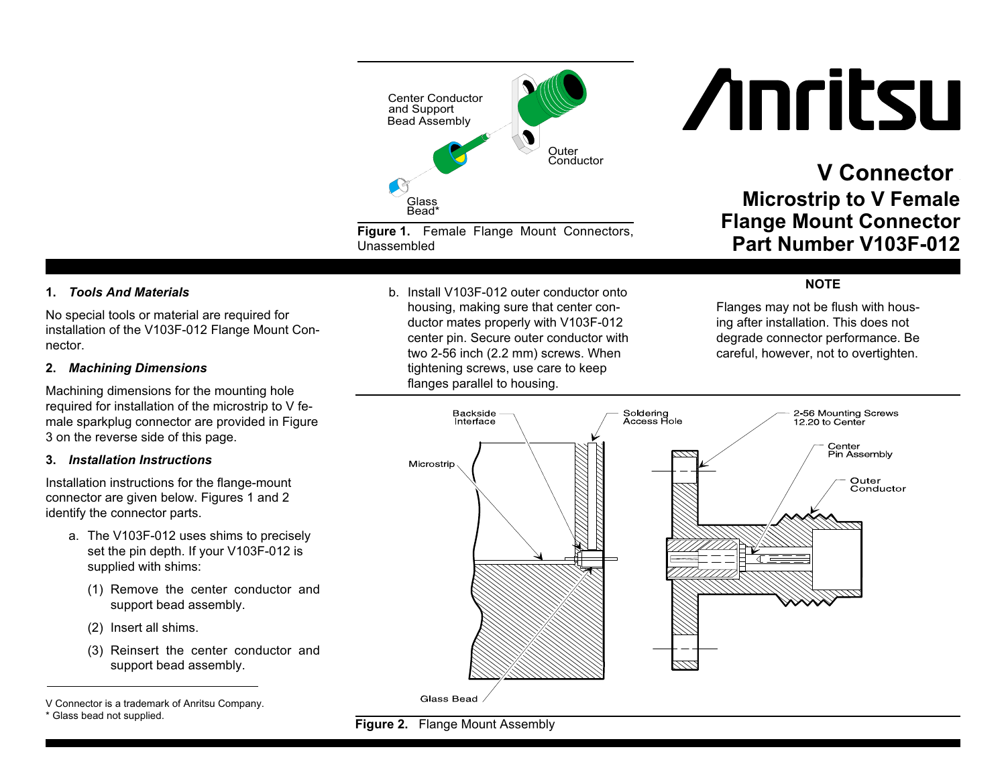

**Figure 1.** Female Flange Mount Connectors, Unassembled

## **1.** *Tools And Materials*

No special tools or material are required for installation of the V103F-012 Flange Mount Connector.

### **2.** *Machining Dimensions*

Machining dimensions for the mounting hole required for installation of the microstrip to V female sparkplug connector are provided in Figure 3 on the reverse side of this page.

#### **3.** *Installation Instructions*

Installation instructions for the flange-mount connector are given below. Figures 1 and 2 identify the connector parts.

- a. The V103F-012 uses shims to precisely set the pin depth. If your V103F-012 is supplied with shims:
	- (1) Remove the center conductor and support bead assembly.
	- (2) Insert all shims.
	- (3) Reinsert the center conductor and support bead assembly.

b. Install V103F-012 outer conductor ontohousing, making sure that center conductor mates properly with V103F-012 center pin. Secure outer conductor with two 2-56 inch (2.2 mm) screws. When tightening screws, use care to keep flanges parallel to housing.

# **Anritsu**

# **V Connector Microstrip to V Female Flange Mount Connector Part Number V103F-012**

### **NOTE**

Flanges may not be flush with housing after installation. This does not degrade connector performance. Be careful, however, not to overtighten.





V Connector is <sup>a</sup> trademark of Anritsu Company.

<sup>\*</sup> Glass bead not supplied.